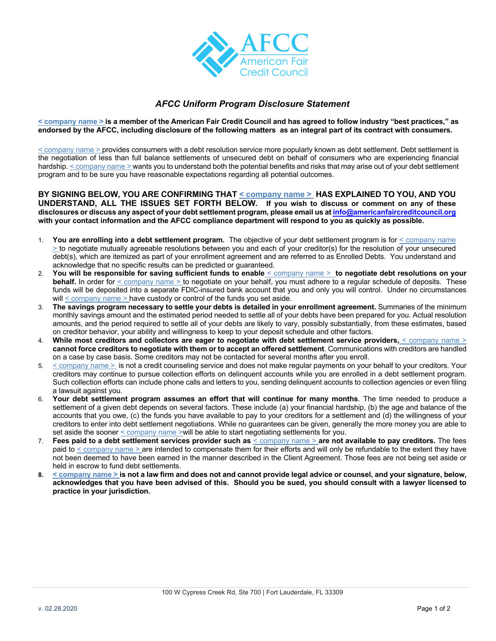

## *AFCC Uniform Program Disclosure Statement*

**< company name > is a member of the American Fair Credit Council and has agreed to follow industry "best practices," as endorsed by the AFCC, including disclosure of the following matters as an integral part of its contract with consumers.** 

< company name > provides consumers with a debt resolution service more popularly known as debt settlement. Debt settlement is the negotiation of less than full balance settlements of unsecured debt on behalf of consumers who are experiencing financial hardship. < company name > wants you to understand both the potential benefits and risks that may arise out of your debt settlement program and to be sure you have reasonable expectations regarding all potential outcomes.

**BY SIGNING BELOW, YOU ARE CONFIRMING THAT < company name > HAS EXPLAINED TO YOU, AND YOU UNDERSTAND, ALL THE ISSUES SET FORTH BELOW. If you wish to discuss or comment on any of these disclosures or discuss any aspect of your debt settlement program, please email us at info@americanfaircreditcouncil.org with your contact information and the AFCC compliance department will respond to you as quickly as possible.**

- 1. **You are enrolling into a debt settlement program.** The objective of your debt settlement program is for < company name > to negotiate mutually agreeable resolutions between you and each of your creditor(s) for the resolution of your unsecured debt(s), which are itemized as part of your enrollment agreement and are referred to as Enrolled Debts. You understand and acknowledge that no specific results can be predicted or guaranteed.
- 2. **You will be responsible for saving sufficient funds to enable** < company name > **to negotiate debt resolutions on your behalf.** In order for < company name > to negotiate on your behalf, you must adhere to a regular schedule of deposits. These funds will be deposited into a separate FDIC-insured bank account that you and only you will control. Under no circumstances will < company name > have custody or control of the funds you set aside.
- 3. **The savings program necessary to settle your debts is detailed in your enrollment agreement.** Summaries of the minimum monthly savings amount and the estimated period needed to settle all of your debts have been prepared for you. Actual resolution amounts, and the period required to settle all of your debts are likely to vary, possibly substantially, from these estimates, based on creditor behavior, your ability and willingness to keep to your deposit schedule and other factors.
- 4. **While most creditors and collectors are eager to negotiate with debt settlement service providers,** < company name > **cannot force creditors to negotiate with them or to accept an offered settlement**. Communications with creditors are handled on a case by case basis. Some creditors may not be contacted for several months after you enroll.
- 5. < company name > is not a credit counseling service and does not make regular payments on your behalf to your creditors. Your creditors may continue to pursue collection efforts on delinquent accounts while you are enrolled in a debt settlement program. Such collection efforts can include phone calls and letters to you, sending delinquent accounts to collection agencies or even filing a lawsuit against you.
- 6. **Your debt settlement program assumes an effort that will continue for many months**. The time needed to produce a settlement of a given debt depends on several factors. These include (a) your financial hardship, (b) the age and balance of the accounts that you owe, (c) the funds you have available to pay to your creditors for a settlement and (d) the willingness of your creditors to enter into debt settlement negotiations. While no guarantees can be given, generally the more money you are able to set aside the sooner < company name >will be able to start negotiating settlements for you.
- 7. **Fees paid to a debt settlement services provider such as** < company name > **are not available to pay creditors.** The fees paid to < company name > are intended to compensate them for their efforts and will only be refundable to the extent they have not been deemed to have been earned in the manner described in the Client Agreement. Those fees are not being set aside or held in escrow to fund debt settlements.
- **8. < company name > is not a law firm and does not and cannot provide legal advice or counsel, and your signature, below, acknowledges that you have been advised of this. Should you be sued, you should consult with a lawyer licensed to practice in your jurisdiction.**